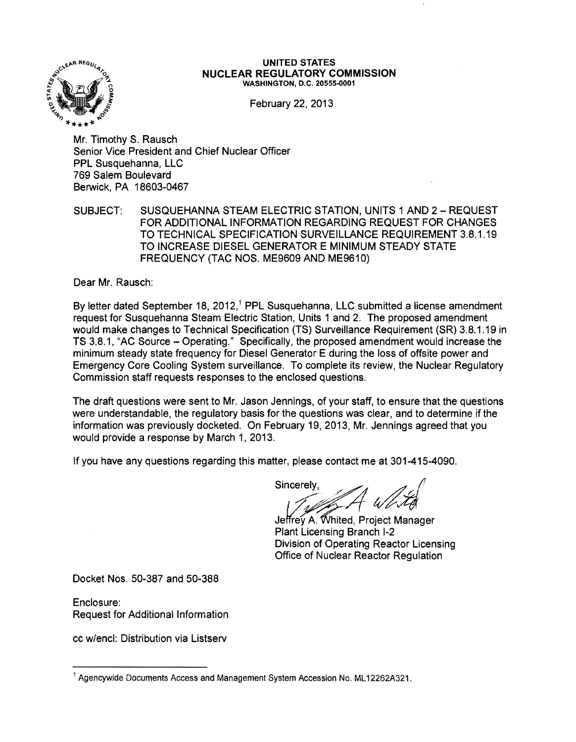

#### UNITED STATES NUCLEAR REGULATORY COMMISSION WASHINGTON, D.C. 20555·0001

February 22. 2013

Mr. Timothy S. Rausch Senior Vice President and Chief Nuclear Officer PPL Susquehanna, LLC 769 Salem Boulevard Berwick, PA 18603-0467

SUBJECT: SUSQUEHANNA STEAM ELECTRIC STATION, UNITS 1 AND 2 - REQUEST FOR ADDITIONAL INFORMATION REGARDING REQUEST FOR CHANGES TO TECHNICAL SPECIFICATION SURVEILLANCE REQUIREMENT 3.8.1.19 TO INCREASE DIESEL GENERATOR E MINIMUM STEADY STATE FREQUENCY (TAC NOS. ME9609 AND ME9610)

Dear Mr. Rausch:

By letter dated September 18, 2012,<sup>1</sup> PPL Susquehanna, LLC submitted a license amendment request for Susquehanna Steam Electric Station. Units 1 and 2. The proposed amendment would make changes to Technical Specification (TS) Surveillance Requirement (SR) 3.8.1.19 in TS 3.8.1, "AC Source - Operating." Specifically, the proposed amendment would increase the minimum steady state frequency for Diesel Generator E during the loss of offsite power and Emergency Core Cooling System surveillance. To complete its review, the Nuclear Regulatory Commission staff requests responses to the enclosed questions.

The draft questions were sent to Mr. Jason Jennings, of your staff, to ensure that the questions were understandable. the regulatory basis for the questions was clear, and to determine if the information was previously docketed. On February 19, 2013, Mr. Jennings agreed that you would provide a response by March 1. 2013.

If you have any questions regarding this matter, please contact me at 301-415-4090.

Sincerely,  $\overline{A}$  which

Jeffrey A. Whited, Project Manager Plant Licensing Branch 1-2 Division of Operating Reactor Licensing Office of Nuclear Reactor Regulation

Docket Nos. 50-387 and 50-388

Enclosure: Request for Additional Information

cc wfencl: Distribution via Listserv

<sup>&</sup>lt;sup>1</sup> Agencywide Documents Access and Management System Accession No. ML12262A321.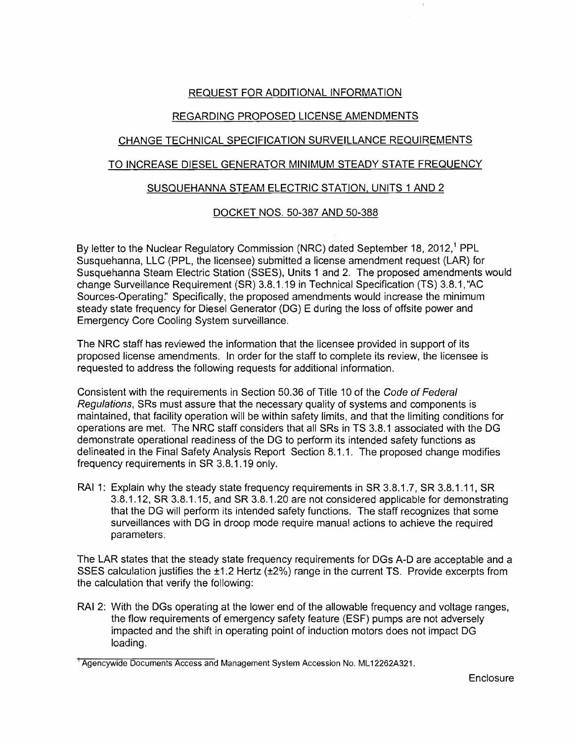# REQUEST FOR ADDITIONAL INFORMATION

# REGARDING PROPOSED LICENSE AMENDMENTS

# CHANGE TECHNICAL SPECIFICATION SURVEILLANCE REQUIREMENTS

## TO INCREASE DIESEL GENERATOR MINIMUM STEADY STATE FREQUENCY

#### SUSQUEHANNA STEAM ELECTRIC STATION, UNITS 1 AND 2

## DOCKET NOS. 50-387 AND 50-388

By letter to the Nuclear Regulatory Commission (NRC) dated September 18, 2012,<sup>1</sup> PPL Susquehanna, LLC (PPL, the licensee) submitted a license amendment request (LAR) for Susquehanna Steam Electric Station (SSES), Units 1 and 2. The proposed amendments would change Surveillance Requirement (SR) 3.8.1.19 in Technical Specification (TS) 3.8.1, "AC Sources-Operating:' Specifically, the proposed amendments would increase the minimum steady state frequency for Diesel Generator (DG) E during the loss of offsite power and Emergency Core Cooling System surveillance.

The NRC staff has reviewed the information that the licensee provided in support of its proposed license amendments. In order for the staff to complete its review, the licensee is requested to address the following requests for additional information.

Consistent with the requirements in Section 50.36 of Title 10 of the Code of Federal Regulations, SRs must assure that the necessary quality of systems and components is maintained, that facility operation will be within safety limits, and that the limiting conditions for operations are met. The NRC staff considers that all SRs in TS 3.8.1 associated with the DG demonstrate operational readiness of the DG to perform its intended safety functions as delineated in the Final Safety Analysis Report Section 8.1.1. The proposed change modifies frequency requirements in SR 3.8.1.19 only.

RAI 1: Explain why the steady state frequency requirements in SR 3.8.1.7, SR 3.8.1.11, SR 3.8.1.12, SR 3.8.1.15, and SR 3.8.1.20 are not considered applicable for demonstrating that the DG will perform its intended safety functions. The staff recognizes that some surveillances with DG in droop mode require manual actions to achieve the required parameters.

The LAR states that the steady state frequency requirements for DGs A-D are acceptable and a SSES calculation justifies the ±1.2 Hertz (±2%) range in the current TS. Provide excerpts from the calculation that verify the following:

RAI 2: With the DGs operating at the lower end of the allowable frequency and voltage ranges, the flow requirements of emergency safety feature (ESF) pumps are not adversely impacted and the shift in operating point of induction motors does not impact DG loading.

I Agencywide Documents Access and Management System Accession No. ML 12262A321.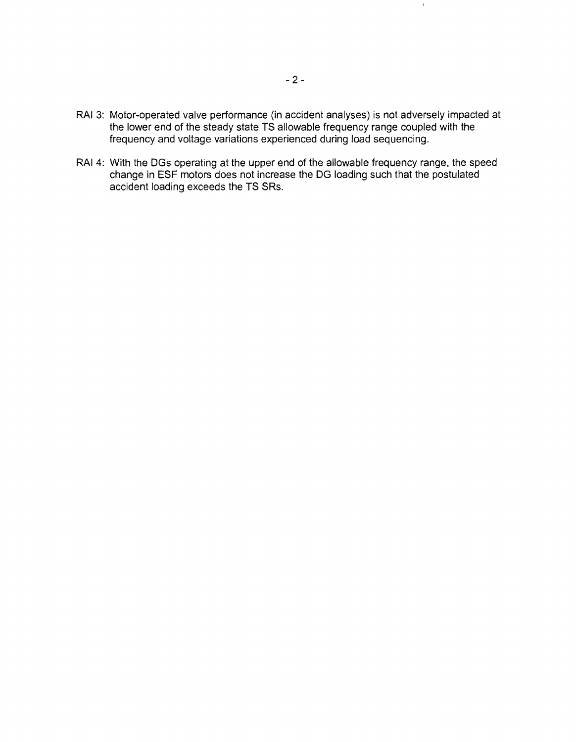- RAI 3: Motor-operated valve performance (in accident analyses) is not adversely impacted at the lower end of the steady state TS allowable frequency range coupled with the frequency and voltage variations experienced during load sequencing.
- RAI 4: With the DGs operating at the upper end of the allowable frequency range, the speed change in ESF motors does not increase the DG loading such that the postulated accident loading exceeds the TS SRs.

 $\bar{r}$